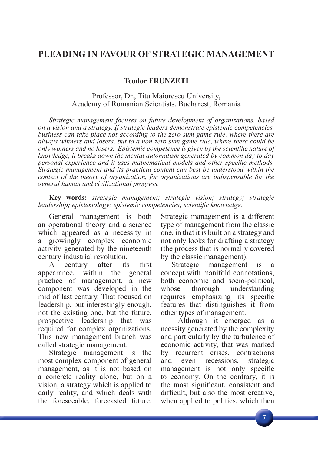## **PLEADING IN FAVOUR OF STRATEGIC MANAGEMENT**

**Teodor FRUNZETI**

## Professor, Dr., Titu Maiorescu University, Academy of Romanian Scientists, Bucharest, Romania

*Strategic management focuses on future development of organizations, based on a vision and a strategy. If strategic leaders demonstrate epistemic competencies, business can take place not according to the zero sum game rule, where there are always winners and losers, but to a non-zero sum game rule, where there could be only winners and no losers. Epistemic competence is given by the scientific nature of knowledge, it breaks down the mental automatism generated by common day to day*  personal experience and it uses mathematical models and other specific methods. *Strategic management and its practical content can best be understood within the context of the theory of organization, for organizations are indispensable for the general human and civilizational progress.*

**Key words:** *strategic management; strategic vision; strategy; strategic leadership; epistemology; epistemic competencies; scientific knowledge.* 

General management is both an operational theory and a science which appeared as a necessity in a growingly complex economic activity generated by the nineteenth century industrial revolution.

A century after its first<br>earance, within the general appearance, within the practice of management, a new component was developed in the mid of last century. That focused on leadership, but interestingly enough, not the existing one, but the future, prospective leadership that was required for complex organizations. This new management branch was called strategic management.

Strategic management is the most complex component of general management, as it is not based on a concrete reality alone, but on a vision, a strategy which is applied to daily reality, and which deals with the foreseeable, forecasted future. Strategic management is a different type of management from the classic one, in that it is built on a strategy and not only looks for drafting a strategy (the process that is normally covered by the classic management).

Strategic management is a concept with manifold connotations, both economic and socio-political, whose thorough understanding requires emphasizing its specific features that distinguishes it from other types of management.

 Although it emerged as a ncessity generated by the complexity and particularly by the turbulence of economic activity, that was marked by recurrent crises, contractions and even recessions, strategic management is not only specific to economy. On the contrary, it is the most significant, consistent and difficult, but also the most creative, when applied to politics, which then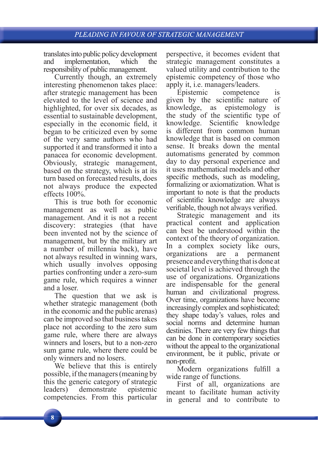translates into public policy development and implementation, which the responsibility of public management.

Currently though, an extremely interesting phenomenon takes place: after strategic management has been elevated to the level of science and highlighted, for over six decades, as essential to sustainable development, especially in the economic field, it began to be criticized even by some of the very same authors who had supported it and transformed it into a panacea for economic development. Obviously, strategic management, based on the strategy, which is at its turn based on forecasted results, does not always produce the expected effects 100%.

This is true both for economic management as well as public management. And it is not a recent discovery: strategies (that have been invented not by the science of management, but by the military art a number of millennia back), have not always resulted in winning wars, which usually involves opposing parties confronting under a zero-sum game rule, which requires a winner and a loser.

The question that we ask is whether strategic management (both in the economic and the public arenas) can be improved so that business takes place not according to the zero sum game rule, where there are always winners and losers, but to a non-zero sum game rule, where there could be only winners and no losers.

We believe that this is entirely possible, if the managers (meaning by this the generic category of strategic leaders) demonstrate epistemic competencies. From this particular perspective, it becomes evident that strategic management constitutes a valued utility and contribution to the epistemic competency of those who apply it, i.e. managers/leaders.

Epistemic competence is given by the scientific nature of knowledge, as epistemology is the study of the scientific type of knowledge. Scientific knowledge is different from common human knowledge that is based on common sense. It breaks down the mental automatisms generated by common day to day personal experience and it uses mathematical models and other specific methods, such as modeling, formalizing or axiomatization. What is important to note is that the products of scientific knowledge are always verifiable, though not always verified.

Strategic management and its practical content and application can best be understood within the context of the theory of organization. In a complex society like ours, organizations are a permanent presence and everything that is done at societal level is achieved through the use of organizations. Organizations are indispensable for the general human and civilizational progress. Over time, organizations have become increasingly complex and sophisticated; they shape today's values, roles and social norms and determine human destinies. There are very few things that can be done in contemporary societies without the appeal to the organizational environment, be it public, private or non-profit.

Modern organizations fulfill a wide range of functions.

First of all, organizations are meant to facilitate human activity in general and to contribute to

8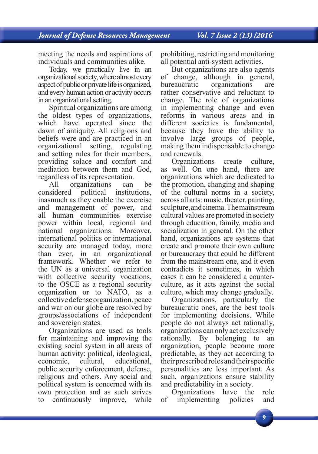meeting the needs and aspirations of individuals and communities alike.

Today, we practically live in an organizational society, where almost every aspect of public or private life is organized, and every human action or activity occurs in an organizational setting.

Spiritual organizations are among the oldest types of organizations, which have operated since the dawn of antiquity. All religions and beliefs were and are practiced in an organizational setting, regulating and setting rules for their members, providing solace and comfort and mediation between them and God, regardless of its representation.

All organizations can be considered political institutions, inasmuch as they enable the exercise and management of power, and all human communities exercise power within local, regional and national organizations. Moreover, international politics or international security are managed today, more than ever, in an organizational framework. Whether we refer to the UN as a universal organization with collective security vocations, to the OSCE as a regional security organization or to NATO, as a collective defense organization, peace and war on our globe are resolved by groups/associations of independent and sovereign states.

Organizations are used as tools for maintaining and improving the existing social system in all areas of human activity: political, ideological, economic, cultural, educational, public security enforcement, defense, religious and others. Any social and political system is concerned with its own protection and as such strives to continuously improve, while

prohibiting, restricting and monitoring all potential anti-system activities.

But organizations are also agents of change, although in general, bureaucratic organizations are rather conservative and reluctant to change. The role of organizations in implementing change and even reforms in various areas and in different societies is fundamental, because they have the ability to involve large groups of people, making them indispensable to change and renewals.

Organizations create culture, as well. On one hand, there are organizations which are dedicated to the promotion, changing and shaping of the cultural norms in a society, across all arts: music, theater, painting, sculpture, and cinema. The mainstream cultural values are promoted in society through education, family, media and socialization in general. On the other hand, organizations are systems that create and promote their own culture or bureaucracy that could be different from the mainstream one, and it even contradicts it sometimes, in which cases it can be considered a counterculture, as it acts against the social culture, which may change gradually.

Organizations, particularly the bureaucratic ones, are the best tools for implementing decisions. While people do not always act rationally, organizations can only act exclusively rationally. By belonging to an organization, people become more predictable, as they act according to their prescribed roles and their specific personalities are less important. As such, organizations ensure stability and predictability in a society.

Organizations have the role of implementing policies and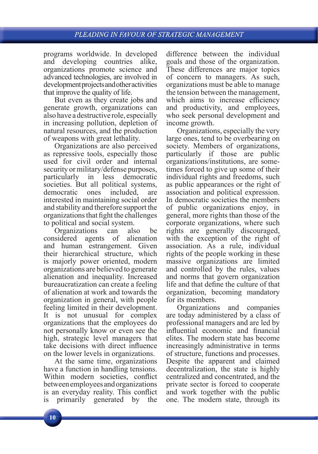programs worldwide. In developed and developing countries alike, organizations promote science and advanced technologies, are involved in development projects and other activities that improve the quality of life.

But even as they create jobs and generate growth, organizations can also have a destructive role, especially in increasing pollution, depletion of natural resources, and the production of weapons with great lethality.

Organizations are also perceived as repressive tools, especially those used for civil order and internal security or military/defense purposes, particularly in less democratic societies. But all political systems, democratic ones included, are interested in maintaining social order and stability and therefore support the organizations that fight the challenges to political and social system.

Organizations can also be considered agents of alienation and human estrangement. Given their hierarchical structure, which is majorly power oriented, modern organizations are believed to generate alienation and inequality. Increased bureaucratization can create a feeling of alienation at work and towards the organization in general, with people feeling limited in their development. It is not unusual for complex organizations that the employees do not personally know or even see the high, strategic level managers that take decisions with direct influence on the lower levels in organizations.

At the same time, organizations have a function in handling tensions. Within modern societies, conflict between employees and organizations is an everyday reality. This conflict is primarily generated by the difference between the individual goals and those of the organization. These differences are major topics of concern to managers. As such, organizations must be able to manage the tension between the management, which aims to increase efficiency and productivity, and employees, who seek personal development and income growth.

Organizations, especially the very large ones, tend to be overbearing on society. Members of organizations, particularly if those are public organizations/institutions, are sometimes forced to give up some of their individual rights and freedoms, such as public appearances or the right of association and political expression. In democratic societies the members of public organizations enjoy, in general, more rights than those of the corporate organizations, where such rights are generally discouraged, with the exception of the right of association. As a rule, individual rights of the people working in these massive organizations are limited and controlled by the rules, values and norms that govern organization life and that define the culture of that organization, becoming mandatory for its members.

Organizations and companies are today administered by a class of professional managers and are led by influential economic and financial elites. The modern state has become increasingly administrative in terms of structure, functions and processes. Despite the apparent and claimed decentralization, the state is highly centralized and concentrated, and the private sector is forced to cooperate and work together with the public one. The modern state, through its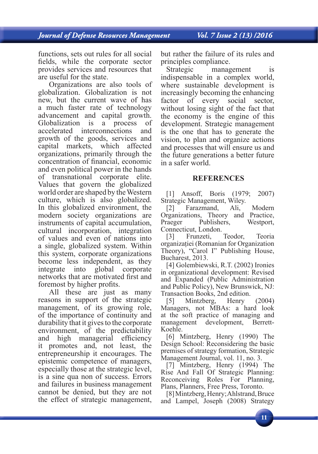functions, sets out rules for all social fields, while the corporate sector provides services and resources that are useful for the state.

Organizations are also tools of globalization. Globalization is not new, but the current wave of has a much faster rate of technology advancement and capital growth.<br>Globalization is a process of Globalization is a accelerated interconnections and growth of the goods, services and capital markets, which affected organizations, primarily through the concentration of financial, economic and even political power in the hands of transnational corporate elite. Values that govern the globalized world order are shaped by the Western culture, which is also globalized. In this globalized environment, the modern society organizations are instruments of capital accumulation, cultural incorporation, integration of values and even of nations into a single, globalized system. Within this system, corporate organizations become less independent, as they integrate into global corporate networks that are motivated first and foremost by higher profits.

All these are just as many reasons in support of the strategic management, of its growing role, of the importance of continuity and durability that it gives to the corporate environment, of the predictability and high managerial efficiency it promotes and, not least, the entrepreneurship it encourages. The epistemic competence of managers, especially those at the strategic level, is a sine qua non of success. Errors and failures in business management cannot be denied, but they are not the effect of strategic management,

but rather the failure of its rules and principles compliance.

Strategic management is indispensable in a complex world, where sustainable development is increasingly becoming the enhancing factor of every social sector, without losing sight of the fact that the economy is the engine of this development. Strategic management is the one that has to generate the vision, to plan and organize actions and processes that will ensure us and the future generations a better future in a safer world.

## **REFERENCES**

[1] Ansoff, Boris (1979; 2007) Strategic Management, Wiley.

[2] Farazmand, Ali, Modern Organizations, Theory and Practice, Praeger Publishers, Westport, Connecticut, London.

[3] Frunzeti, Teodor, Teoria organizaţiei (Romanian for Organization Theory), "Carol I" Publishing House, Bucharest, 2013.

[4] Golembiewski, R.T. (2002) Ironies in organizational development: Revised and Expanded (Public Administration and Public Policy), New Brunswick, NJ: Transaction Books, 2nd edition.

[5] Mintzberg, Henry (2004) Managers, not MBAs: a hard look at the soft practice of managing and management development, Berrett-Koehle.

[6] Mintzberg, Henry (1990) The Design School: Reconsidering the basic premises of strategy formation, Strategic Management Journal, vol. 11, no. 3.

[7] Mintzberg, Henry (1994) The Rise And Fall Of Strategic Planning: Reconceiving Roles For Planning, Plans, Planners, Free Press, Toronto.

[8] Mintzberg, Henry; Ahlstrand, Bruce and Lampel, Joseph (2008) Strategy